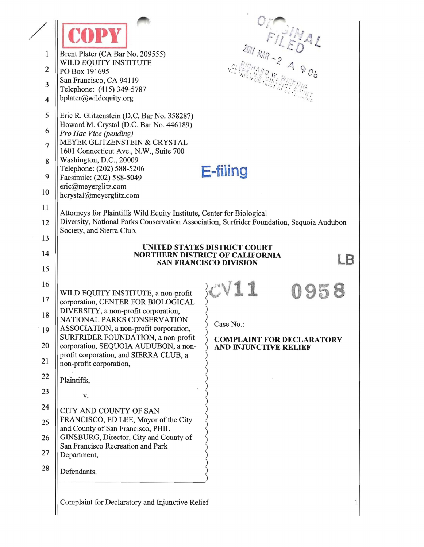|                              |                                                                                                                 | 2011 MAR - 2 A & 06                                                                       |
|------------------------------|-----------------------------------------------------------------------------------------------------------------|-------------------------------------------------------------------------------------------|
| 1                            | Brent Plater (CA Bar No. 209555)<br>WILD EQUITY INSTITUTE                                                       |                                                                                           |
| $\mathbf{2}$                 | PO Box 191695<br>San Francisco, CA 94119                                                                        | $\frac{1}{D_{R,IR}^{S}}$ $\frac{D_{IS}}{D_{R,CI}}$                                        |
| 3<br>$\overline{\mathbf{4}}$ | Telephone: (415) 349-5787<br>bplater@wildequity.org                                                             |                                                                                           |
|                              |                                                                                                                 |                                                                                           |
| 5<br>6                       | Eric R. Glitzenstein (D.C. Bar No. 358287)<br>Howard M. Crystal (D.C. Bar No. 446189)<br>Pro Hac Vice (pending) |                                                                                           |
| $\overline{7}$               | MEYER GLITZENSTEIN & CRYSTAL                                                                                    |                                                                                           |
| 8                            | 1601 Connecticut Ave., N.W., Suite 700<br>Washington, D.C., 20009                                               |                                                                                           |
| 9                            | Telephone: (202) 588-5206                                                                                       | E-filing                                                                                  |
| 10                           | Facsimile: (202) 588-5049<br>eric@meyerglitz.com<br>hcrystal@meyerglitz.com                                     |                                                                                           |
| 11                           | Attorneys for Plaintiffs Wild Equity Institute, Center for Biological                                           |                                                                                           |
| 12                           |                                                                                                                 | Diversity, National Parks Conservation Association, Surfrider Foundation, Sequoia Audubon |
| 13                           | Society, and Sierra Club.                                                                                       |                                                                                           |
| 14                           |                                                                                                                 | UNITED STATES DISTRICT COURT<br>NORTHERN DISTRICT OF CALIFORNIA<br>LB                     |
| 15                           |                                                                                                                 | <b>SAN FRANCISCO DIVISION</b>                                                             |
| 16                           |                                                                                                                 |                                                                                           |
| 17                           | WILD EQUITY INSTITUTE, a non-profit<br>corporation, CENTER FOR BIOLOGICAL                                       | 95                                                                                        |
| 18                           | DIVERSITY, a non-profit corporation,                                                                            |                                                                                           |
| 19                           | NATIONAL PARKS CONSERVATION<br>ASSOCIATION, a non-profit corporation,                                           | Case $No.$ :                                                                              |
| 20                           | SURFRIDER FOUNDATION, a non-profit<br>corporation, SEQUOIA AUDUBON, a non-                                      | <b>COMPLAINT FOR DECLARATORY</b><br>AND INJUNCTIVE RELIEF                                 |
| 21                           | profit corporation, and SIERRA CLUB, a<br>non-profit corporation,                                               |                                                                                           |
| 22                           | Plaintiffs,                                                                                                     |                                                                                           |
| 23                           | V.                                                                                                              |                                                                                           |
| 24                           | CITY AND COUNTY OF SAN                                                                                          |                                                                                           |
| 25                           | FRANCISCO, ED LEE, Mayor of the City<br>and County of San Francisco, PHIL                                       |                                                                                           |
| 26                           | GINSBURG, Director, City and County of                                                                          |                                                                                           |
| 27                           | San Francisco Recreation and Park<br>Department,                                                                |                                                                                           |
| 28                           | Defendants.                                                                                                     |                                                                                           |
|                              |                                                                                                                 |                                                                                           |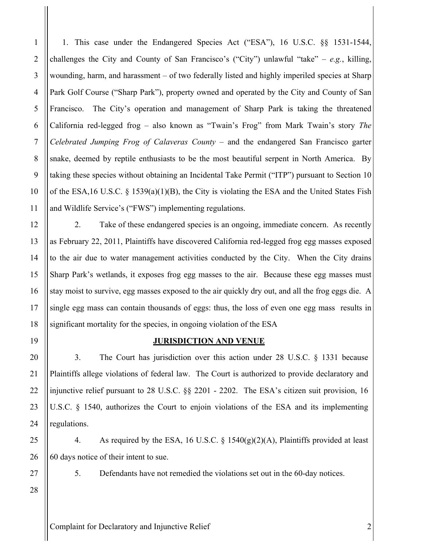1. This case under the Endangered Species Act ("ESA"), 16 U.S.C. §§ 1531-1544, challenges the City and County of San Francisco's ("City") unlawful "take"  $-e.g.,$  killing, wounding, harm, and harassment – of two federally listed and highly imperiled species at Sharp Park Golf Course ("Sharp Park"), property owned and operated by the City and County of San Francisco. The City's operation and management of Sharp Park is taking the threatened California red-legged frog – also known as "Twain's Frog" from Mark Twain's story *The Celebrated Jumping Frog of Calaveras County* – and the endangered San Francisco garter snake, deemed by reptile enthusiasts to be the most beautiful serpent in North America. By taking these species without obtaining an Incidental Take Permit ("ITP") pursuant to Section 10 of the ESA, 16 U.S.C.  $\frac{8}{1539(a)(1)(B)}$ , the City is violating the ESA and the United States Fish and Wildlife Service's ("FWS") implementing regulations.

2. Take of these endangered species is an ongoing, immediate concern. As recently as February 22, 2011, Plaintiffs have discovered California red-legged frog egg masses exposed to the air due to water management activities conducted by the City. When the City drains Sharp Park's wetlands, it exposes frog egg masses to the air. Because these egg masses must stay moist to survive, egg masses exposed to the air quickly dry out, and all the frog eggs die. A single egg mass can contain thousands of eggs: thus, the loss of even one egg mass results in significant mortality for the species, in ongoing violation of the ESA

## 19

1

2

3

4

5

6

7

8

9

10

11

12

13

14

15

16

17

18

20

21

22

23

24

25

26

27

28

#### **JURISDICTION AND VENUE**

3. The Court has jurisdiction over this action under 28 U.S.C. § 1331 because Plaintiffs allege violations of federal law. The Court is authorized to provide declaratory and injunctive relief pursuant to 28 U.S.C. §§ 2201 - 2202. The ESA's citizen suit provision, 16 U.S.C. § 1540, authorizes the Court to enjoin violations of the ESA and its implementing regulations.

4. As required by the ESA, 16 U.S.C. § 1540(g)(2)(A), Plaintiffs provided at least 60 days notice of their intent to sue.

5. Defendants have not remedied the violations set out in the 60-day notices.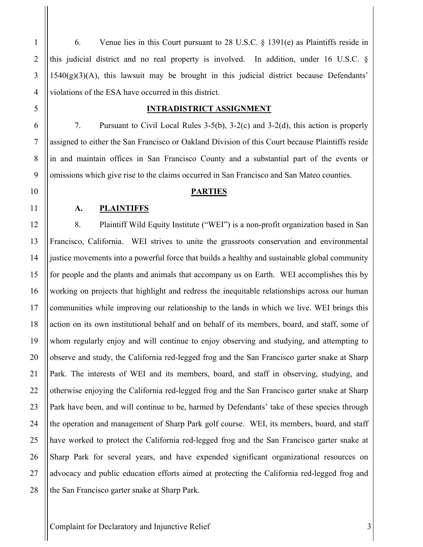6. Venue lies in this Court pursuant to 28 U.S.C. § 1391(e) as Plaintiffs reside in this judicial district and no real property is involved. In addition, under 16 U.S.C. §  $1540(g)(3)(A)$ , this lawsuit may be brought in this judicial district because Defendants' violations of the ESA have occurred in this district.

#### **INTRADISTRICT ASSIGNMENT**

7. Pursuant to Civil Local Rules 3-5(b), 3-2(c) and 3-2(d), this action is properly assigned to either the San Francisco or Oakland Division of this Court because Plaintiffs reside in and maintain offices in San Francisco County and a substantial part of the events or omissions which give rise to the claims occurred in San Francisco and San Mateo counties.

#### **PARTIES**

#### **A. PLAINTIFFS**

8. Plaintiff Wild Equity Institute ("WEI") is a non-profit organization based in San Francisco, California. WEI strives to unite the grassroots conservation and environmental justice movements into a powerful force that builds a healthy and sustainable global community for people and the plants and animals that accompany us on Earth. WEI accomplishes this by working on projects that highlight and redress the inequitable relationships across our human communities while improving our relationship to the lands in which we live. WEI brings this action on its own institutional behalf and on behalf of its members, board, and staff, some of whom regularly enjoy and will continue to enjoy observing and studying, and attempting to observe and study, the California red-legged frog and the San Francisco garter snake at Sharp Park. The interests of WEI and its members, board, and staff in observing, studying, and otherwise enjoying the California red-legged frog and the San Francisco garter snake at Sharp Park have been, and will continue to be, harmed by Defendants' take of these species through the operation and management of Sharp Park golf course. WEI, its members, board, and staff have worked to protect the California red-legged frog and the San Francisco garter snake at Sharp Park for several years, and have expended significant organizational resources on advocacy and public education efforts aimed at protecting the California red-legged frog and the San Francisco garter snake at Sharp Park.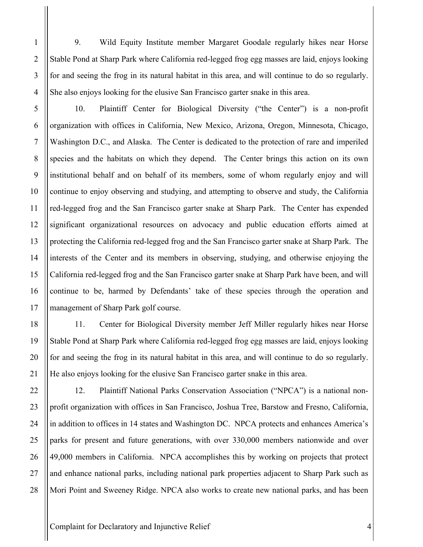9. Wild Equity Institute member Margaret Goodale regularly hikes near Horse Stable Pond at Sharp Park where California red-legged frog egg masses are laid, enjoys looking for and seeing the frog in its natural habitat in this area, and will continue to do so regularly. She also enjoys looking for the elusive San Francisco garter snake in this area.

10. Plaintiff Center for Biological Diversity ("the Center") is a non-profit organization with offices in California, New Mexico, Arizona, Oregon, Minnesota, Chicago, Washington D.C., and Alaska. The Center is dedicated to the protection of rare and imperiled species and the habitats on which they depend. The Center brings this action on its own institutional behalf and on behalf of its members, some of whom regularly enjoy and will continue to enjoy observing and studying, and attempting to observe and study, the California red-legged frog and the San Francisco garter snake at Sharp Park. The Center has expended significant organizational resources on advocacy and public education efforts aimed at protecting the California red-legged frog and the San Francisco garter snake at Sharp Park. The interests of the Center and its members in observing, studying, and otherwise enjoying the California red-legged frog and the San Francisco garter snake at Sharp Park have been, and will continue to be, harmed by Defendants' take of these species through the operation and management of Sharp Park golf course.

11. Center for Biological Diversity member Jeff Miller regularly hikes near Horse Stable Pond at Sharp Park where California red-legged frog egg masses are laid, enjoys looking for and seeing the frog in its natural habitat in this area, and will continue to do so regularly. He also enjoys looking for the elusive San Francisco garter snake in this area.

12. Plaintiff National Parks Conservation Association ("NPCA") is a national nonprofit organization with offices in San Francisco, Joshua Tree, Barstow and Fresno, California, in addition to offices in 14 states and Washington DC. NPCA protects and enhances America's parks for present and future generations, with over 330,000 members nationwide and over 49,000 members in California. NPCA accomplishes this by working on projects that protect and enhance national parks, including national park properties adjacent to Sharp Park such as Mori Point and Sweeney Ridge. NPCA also works to create new national parks, and has been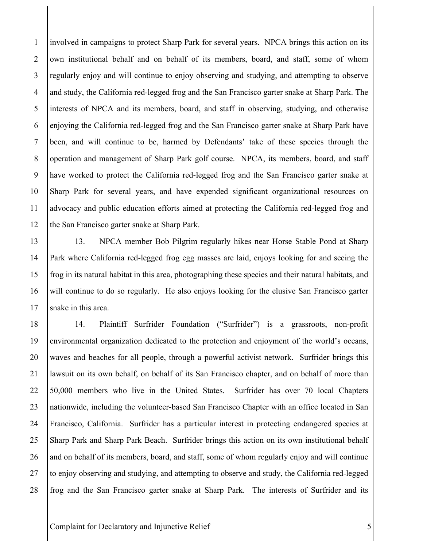involved in campaigns to protect Sharp Park for several years. NPCA brings this action on its own institutional behalf and on behalf of its members, board, and staff, some of whom regularly enjoy and will continue to enjoy observing and studying, and attempting to observe and study, the California red-legged frog and the San Francisco garter snake at Sharp Park. The interests of NPCA and its members, board, and staff in observing, studying, and otherwise enjoying the California red-legged frog and the San Francisco garter snake at Sharp Park have been, and will continue to be, harmed by Defendants' take of these species through the operation and management of Sharp Park golf course. NPCA, its members, board, and staff have worked to protect the California red-legged frog and the San Francisco garter snake at Sharp Park for several years, and have expended significant organizational resources on advocacy and public education efforts aimed at protecting the California red-legged frog and the San Francisco garter snake at Sharp Park.

13. NPCA member Bob Pilgrim regularly hikes near Horse Stable Pond at Sharp Park where California red-legged frog egg masses are laid, enjoys looking for and seeing the frog in its natural habitat in this area, photographing these species and their natural habitats, and will continue to do so regularly. He also enjoys looking for the elusive San Francisco garter snake in this area.

14. Plaintiff Surfrider Foundation ("Surfrider") is a grassroots, non-profit environmental organization dedicated to the protection and enjoyment of the world's oceans, waves and beaches for all people, through a powerful activist network. Surfrider brings this lawsuit on its own behalf, on behalf of its San Francisco chapter, and on behalf of more than 50,000 members who live in the United States. Surfrider has over 70 local Chapters nationwide, including the volunteer-based San Francisco Chapter with an office located in San Francisco, California. Surfrider has a particular interest in protecting endangered species at Sharp Park and Sharp Park Beach. Surfrider brings this action on its own institutional behalf and on behalf of its members, board, and staff, some of whom regularly enjoy and will continue to enjoy observing and studying, and attempting to observe and study, the California red-legged frog and the San Francisco garter snake at Sharp Park. The interests of Surfrider and its

Complaint for Declaratory and Injunctive Relief 5

1

2

3

4

5

6

7

8

9

10

11

12

13

14

15

16

17

18

19

20

21

22

23

24

25

26

27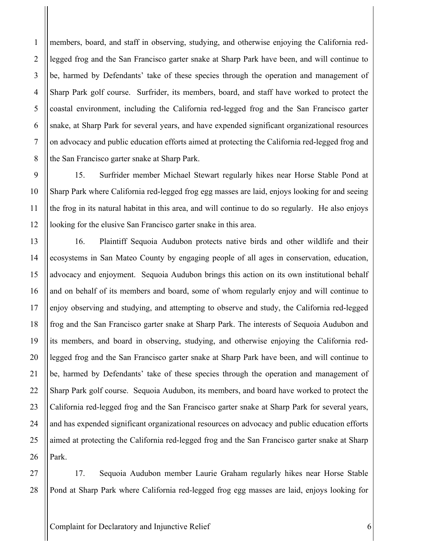members, board, and staff in observing, studying, and otherwise enjoying the California redlegged frog and the San Francisco garter snake at Sharp Park have been, and will continue to be, harmed by Defendants' take of these species through the operation and management of Sharp Park golf course. Surfrider, its members, board, and staff have worked to protect the coastal environment, including the California red-legged frog and the San Francisco garter snake, at Sharp Park for several years, and have expended significant organizational resources on advocacy and public education efforts aimed at protecting the California red-legged frog and the San Francisco garter snake at Sharp Park.

1

2

3

4

5

6

7

8

9

10

11

12

13

14

15

16

17

18

19

20

21

22

23

24

25

26

27

28

15. Surfrider member Michael Stewart regularly hikes near Horse Stable Pond at Sharp Park where California red-legged frog egg masses are laid, enjoys looking for and seeing the frog in its natural habitat in this area, and will continue to do so regularly. He also enjoys looking for the elusive San Francisco garter snake in this area.

16. Plaintiff Sequoia Audubon protects native birds and other wildlife and their ecosystems in San Mateo County by engaging people of all ages in conservation, education, advocacy and enjoyment. Sequoia Audubon brings this action on its own institutional behalf and on behalf of its members and board, some of whom regularly enjoy and will continue to enjoy observing and studying, and attempting to observe and study, the California red-legged frog and the San Francisco garter snake at Sharp Park. The interests of Sequoia Audubon and its members, and board in observing, studying, and otherwise enjoying the California redlegged frog and the San Francisco garter snake at Sharp Park have been, and will continue to be, harmed by Defendants' take of these species through the operation and management of Sharp Park golf course. Sequoia Audubon, its members, and board have worked to protect the California red-legged frog and the San Francisco garter snake at Sharp Park for several years, and has expended significant organizational resources on advocacy and public education efforts aimed at protecting the California red-legged frog and the San Francisco garter snake at Sharp Park.

17. Sequoia Audubon member Laurie Graham regularly hikes near Horse Stable Pond at Sharp Park where California red-legged frog egg masses are laid, enjoys looking for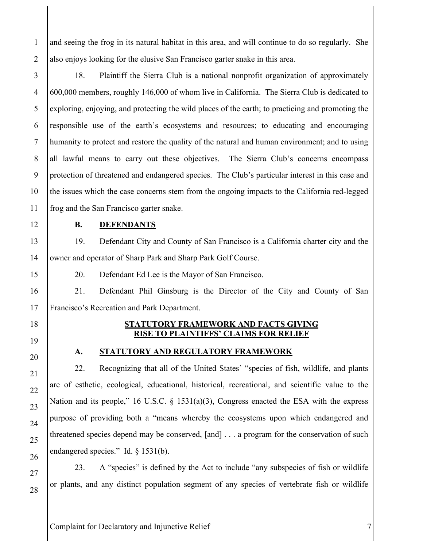and seeing the frog in its natural habitat in this area, and will continue to do so regularly. She also enjoys looking for the elusive San Francisco garter snake in this area.

18. Plaintiff the Sierra Club is a national nonprofit organization of approximately 600,000 members, roughly 146,000 of whom live in California. The Sierra Club is dedicated to exploring, enjoying, and protecting the wild places of the earth; to practicing and promoting the responsible use of the earth's ecosystems and resources; to educating and encouraging humanity to protect and restore the quality of the natural and human environment; and to using all lawful means to carry out these objectives. The Sierra Club's concerns encompass protection of threatened and endangered species. The Club's particular interest in this case and the issues which the case concerns stem from the ongoing impacts to the California red-legged frog and the San Francisco garter snake.

1

2

3

4

5

6

7

8

9

10

11

12

13

14

15

16

17

18

19

20

21

22

23

24

25

26

27

28

# **B. DEFENDANTS**

19. Defendant City and County of San Francisco is a California charter city and the owner and operator of Sharp Park and Sharp Park Golf Course.

21. Defendant Phil Ginsburg is the Director of the City and County of San Francisco's Recreation and Park Department.

### **STATUTORY FRAMEWORK AND FACTS GIVING RISE TO PLAINTIFFS' CLAIMS FOR RELIEF**

## **A. STATUTORY AND REGULATORY FRAMEWORK**

22. Recognizing that all of the United States' "species of fish, wildlife, and plants are of esthetic, ecological, educational, historical, recreational, and scientific value to the Nation and its people," 16 U.S.C. § 1531(a)(3), Congress enacted the ESA with the express purpose of providing both a "means whereby the ecosystems upon which endangered and threatened species depend may be conserved, [and] . . . a program for the conservation of such endangered species." Id.  $\S$  1531(b).

23. A "species" is defined by the Act to include "any subspecies of fish or wildlife or plants, and any distinct population segment of any species of vertebrate fish or wildlife

20. Defendant Ed Lee is the Mayor of San Francisco.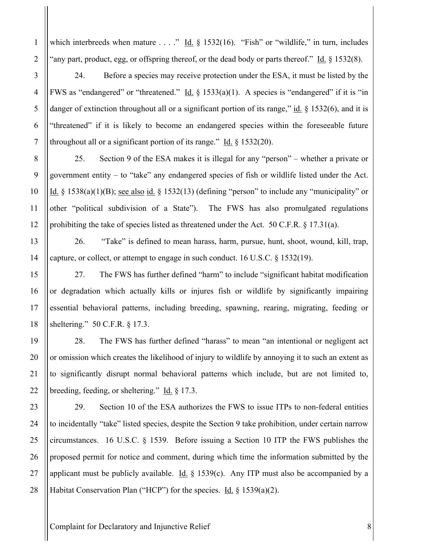which interbreeds when mature  $\dots$ ." Id.  $\S$  1532(16). "Fish" or "wildlife," in turn, includes "any part, product, egg, or offspring thereof, or the dead body or parts thereof." Id. § 1532(8).

24. Before a species may receive protection under the ESA, it must be listed by the FWS as "endangered" or "threatened." Id.  $\S$  1533(a)(1). A species is "endangered" if it is "in danger of extinction throughout all or a significant portion of its range," id.  $\S$  1532(6), and it is "threatened" if it is likely to become an endangered species within the foreseeable future throughout all or a significant portion of its range." Id.  $\S$  1532(20).

25. Section 9 of the ESA makes it is illegal for any "person" – whether a private or government entity – to "take" any endangered species of fish or wildlife listed under the Act. Id.  $\S$  1538(a)(1)(B); see also id.  $\S$  1532(13) (defining "person" to include any "municipality" or other "political subdivision of a State"). The FWS has also promulgated regulations prohibiting the take of species listed as threatened under the Act. 50 C.F.R.  $\S$  17.31(a).

26. "Take" is defined to mean harass, harm, pursue, hunt, shoot, wound, kill, trap, capture, or collect, or attempt to engage in such conduct. 16 U.S.C. § 1532(19).

27. The FWS has further defined "harm" to include "significant habitat modification or degradation which actually kills or injures fish or wildlife by significantly impairing essential behavioral patterns, including breeding, spawning, rearing, migrating, feeding or sheltering." 50 C.F.R. § 17.3.

28. The FWS has further defined "harass" to mean "an intentional or negligent act or omission which creates the likelihood of injury to wildlife by annoying it to such an extent as to significantly disrupt normal behavioral patterns which include, but are not limited to, breeding, feeding, or sheltering." Id. § 17.3.

29. Section 10 of the ESA authorizes the FWS to issue ITPs to non-federal entities to incidentally "take" listed species, despite the Section 9 take prohibition, under certain narrow circumstances. 16 U.S.C. § 1539. Before issuing a Section 10 ITP the FWS publishes the proposed permit for notice and comment, during which time the information submitted by the applicant must be publicly available. Id.  $\S$  1539(c). Any ITP must also be accompanied by a Habitat Conservation Plan ("HCP") for the species. Id. § 1539(a)(2).

Complaint for Declaratory and Injunctive Relief 8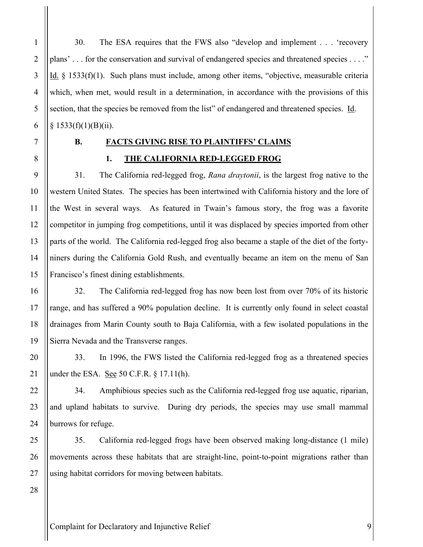30. The ESA requires that the FWS also "develop and implement . . . 'recovery plans' . . . for the conservation and survival of endangered species and threatened species . . . ." Id. § 1533(f)(1). Such plans must include, among other items, "objective, measurable criteria which, when met, would result in a determination, in accordance with the provisions of this section, that the species be removed from the list" of endangered and threatened species. Id.  $§ 1533(f)(1)(B)(ii).$ 

1

2

3

4

5

# **B. FACTS GIVING RISE TO PLAINTIFFS' CLAIMS**

## **1. THE CALIFORNIA RED-LEGGED FROG**

31. The California red-legged frog, *Rana draytonii*, is the largest frog native to the western United States. The species has been intertwined with California history and the lore of the West in several ways. As featured in Twain's famous story, the frog was a favorite competitor in jumping frog competitions, until it was displaced by species imported from other parts of the world. The California red-legged frog also became a staple of the diet of the fortyniners during the California Gold Rush, and eventually became an item on the menu of San Francisco's finest dining establishments.

32. The California red-legged frog has now been lost from over 70% of its historic range, and has suffered a 90% population decline. It is currently only found in select coastal drainages from Marin County south to Baja California, with a few isolated populations in the Sierra Nevada and the Transverse ranges.

33. In 1996, the FWS listed the California red-legged frog as a threatened species under the ESA. See 50 C.F.R.  $\S$  17.11(h).

34. Amphibious species such as the California red-legged frog use aquatic, riparian, and upland habitats to survive. During dry periods, the species may use small mammal burrows for refuge.

35. California red-legged frogs have been observed making long-distance (1 mile) movements across these habitats that are straight-line, point-to-point migrations rather than using habitat corridors for moving between habitats.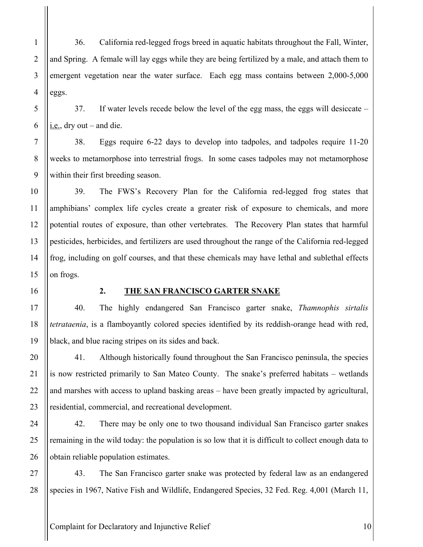36. California red-legged frogs breed in aquatic habitats throughout the Fall, Winter, and Spring. A female will lay eggs while they are being fertilized by a male, and attach them to emergent vegetation near the water surface. Each egg mass contains between 2,000-5,000 eggs.

37. If water levels recede below the level of the egg mass, the eggs will desiccate –  $i.e.,$  dry out – and die.

38. Eggs require 6-22 days to develop into tadpoles, and tadpoles require 11-20 weeks to metamorphose into terrestrial frogs. In some cases tadpoles may not metamorphose within their first breeding season.

39. The FWS's Recovery Plan for the California red-legged frog states that amphibians' complex life cycles create a greater risk of exposure to chemicals, and more potential routes of exposure, than other vertebrates. The Recovery Plan states that harmful pesticides, herbicides, and fertilizers are used throughout the range of the California red-legged frog, including on golf courses, and that these chemicals may have lethal and sublethal effects on frogs.

#### **2. THE SAN FRANCISCO GARTER SNAKE**

40. The highly endangered San Francisco garter snake, *Thamnophis sirtalis tetrataenia*, is a flamboyantly colored species identified by its reddish-orange head with red, black, and blue racing stripes on its sides and back.

41. Although historically found throughout the San Francisco peninsula, the species is now restricted primarily to San Mateo County. The snake's preferred habitats – wetlands and marshes with access to upland basking areas – have been greatly impacted by agricultural, residential, commercial, and recreational development.

42. There may be only one to two thousand individual San Francisco garter snakes remaining in the wild today: the population is so low that it is difficult to collect enough data to obtain reliable population estimates.

43. The San Francisco garter snake was protected by federal law as an endangered species in 1967, Native Fish and Wildlife, Endangered Species, 32 Fed. Reg. 4,001 (March 11,

Complaint for Declaratory and Injunctive Relief 10

1

2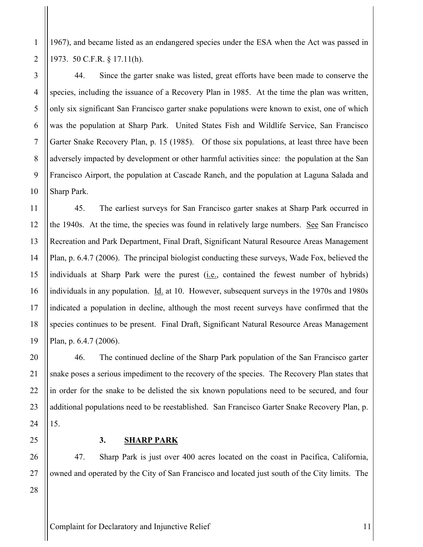1967), and became listed as an endangered species under the ESA when the Act was passed in 1973. 50 C.F.R. § 17.11(h).

44. Since the garter snake was listed, great efforts have been made to conserve the species, including the issuance of a Recovery Plan in 1985. At the time the plan was written, only six significant San Francisco garter snake populations were known to exist, one of which was the population at Sharp Park. United States Fish and Wildlife Service, San Francisco Garter Snake Recovery Plan, p. 15 (1985). Of those six populations, at least three have been adversely impacted by development or other harmful activities since: the population at the San Francisco Airport, the population at Cascade Ranch, and the population at Laguna Salada and Sharp Park.

45. The earliest surveys for San Francisco garter snakes at Sharp Park occurred in the 1940s. At the time, the species was found in relatively large numbers. See San Francisco Recreation and Park Department, Final Draft, Significant Natural Resource Areas Management Plan, p. 6.4.7 (2006). The principal biologist conducting these surveys, Wade Fox, believed the individuals at Sharp Park were the purest (i.e., contained the fewest number of hybrids) individuals in any population. Id. at 10. However, subsequent surveys in the 1970s and 1980s indicated a population in decline, although the most recent surveys have confirmed that the species continues to be present. Final Draft, Significant Natural Resource Areas Management Plan, p. 6.4.7 (2006).

46. The continued decline of the Sharp Park population of the San Francisco garter snake poses a serious impediment to the recovery of the species. The Recovery Plan states that in order for the snake to be delisted the six known populations need to be secured, and four additional populations need to be reestablished. San Francisco Garter Snake Recovery Plan, p. 15.

**3. SHARP PARK**

47. Sharp Park is just over 400 acres located on the coast in Pacifica, California, owned and operated by the City of San Francisco and located just south of the City limits. The

28

1

2

3

4

5

6

7

8

9

10

11

12

13

14

15

16

17

18

19

20

21

22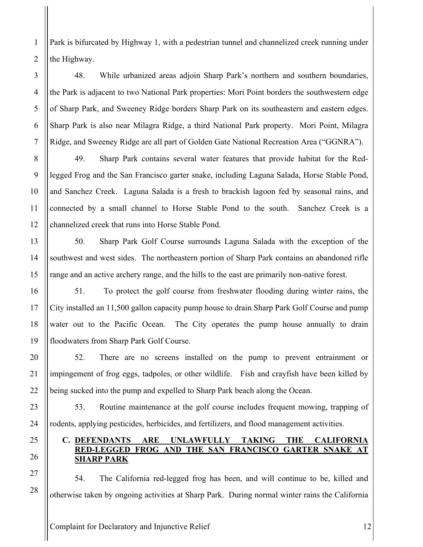Park is bifurcated by Highway 1, with a pedestrian tunnel and channelized creek running under the Highway.

48. While urbanized areas adjoin Sharp Park's northern and southern boundaries, the Park is adjacent to two National Park properties: Mori Point borders the southwestern edge of Sharp Park, and Sweeney Ridge borders Sharp Park on its southeastern and eastern edges. Sharp Park is also near Milagra Ridge, a third National Park property. Mori Point, Milagra Ridge, and Sweeney Ridge are all part of Golden Gate National Recreation Area ("GGNRA").

49. Sharp Park contains several water features that provide habitat for the Redlegged Frog and the San Francisco garter snake, including Laguna Salada, Horse Stable Pond, and Sanchez Creek. Laguna Salada is a fresh to brackish lagoon fed by seasonal rains, and connected by a small channel to Horse Stable Pond to the south. Sanchez Creek is a channelized creek that runs into Horse Stable Pond.

50. Sharp Park Golf Course surrounds Laguna Salada with the exception of the southwest and west sides. The northeastern portion of Sharp Park contains an abandoned rifle range and an active archery range, and the hills to the east are primarily non-native forest.

51. To protect the golf course from freshwater flooding during winter rains, the City installed an 11,500 gallon capacity pump house to drain Sharp Park Golf Course and pump water out to the Pacific Ocean. The City operates the pump house annually to drain floodwaters from Sharp Park Golf Course.

52. There are no screens installed on the pump to prevent entrainment or impingement of frog eggs, tadpoles, or other wildlife. Fish and crayfish have been killed by being sucked into the pump and expelled to Sharp Park beach along the Ocean.

53. Routine maintenance at the golf course includes frequent mowing, trapping of rodents, applying pesticides, herbicides, and fertilizers, and flood management activities.

## **C. DEFENDANTS ARE UNLAWFULLY TAKING THE CALIFORNIA RED-LEGGED FROG AND THE SAN FRANCISCO GARTER SNAKE AT SHARP PARK**

54. The California red-legged frog has been, and will continue to be, killed and otherwise taken by ongoing activities at Sharp Park. During normal winter rains the California

Complaint for Declaratory and Injunctive Relief 12

1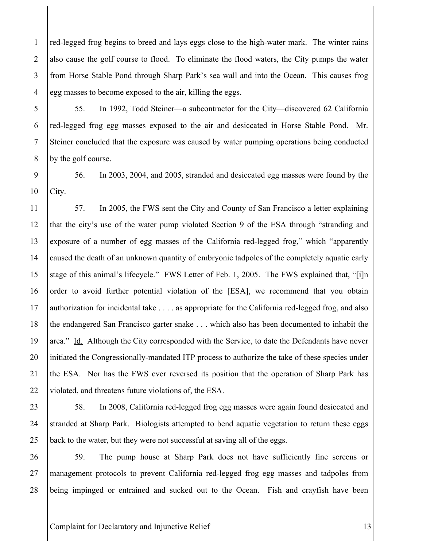red-legged frog begins to breed and lays eggs close to the high-water mark. The winter rains also cause the golf course to flood. To eliminate the flood waters, the City pumps the water from Horse Stable Pond through Sharp Park's sea wall and into the Ocean. This causes frog egg masses to become exposed to the air, killing the eggs.

55. In 1992, Todd Steiner—a subcontractor for the City—discovered 62 California red-legged frog egg masses exposed to the air and desiccated in Horse Stable Pond. Mr. Steiner concluded that the exposure was caused by water pumping operations being conducted by the golf course.

56. In 2003, 2004, and 2005, stranded and desiccated egg masses were found by the City.

57. In 2005, the FWS sent the City and County of San Francisco a letter explaining that the city's use of the water pump violated Section 9 of the ESA through "stranding and exposure of a number of egg masses of the California red-legged frog," which "apparently caused the death of an unknown quantity of embryonic tadpoles of the completely aquatic early stage of this animal's lifecycle." FWS Letter of Feb. 1, 2005. The FWS explained that, "[i]n order to avoid further potential violation of the [ESA], we recommend that you obtain authorization for incidental take . . . . as appropriate for the California red-legged frog, and also the endangered San Francisco garter snake . . . which also has been documented to inhabit the area." Id. Although the City corresponded with the Service, to date the Defendants have never initiated the Congressionally-mandated ITP process to authorize the take of these species under the ESA. Nor has the FWS ever reversed its position that the operation of Sharp Park has violated, and threatens future violations of, the ESA.

58. In 2008, California red-legged frog egg masses were again found desiccated and stranded at Sharp Park. Biologists attempted to bend aquatic vegetation to return these eggs back to the water, but they were not successful at saving all of the eggs.

59. The pump house at Sharp Park does not have sufficiently fine screens or management protocols to prevent California red-legged frog egg masses and tadpoles from being impinged or entrained and sucked out to the Ocean. Fish and crayfish have been

Complaint for Declaratory and Injunctive Relief 13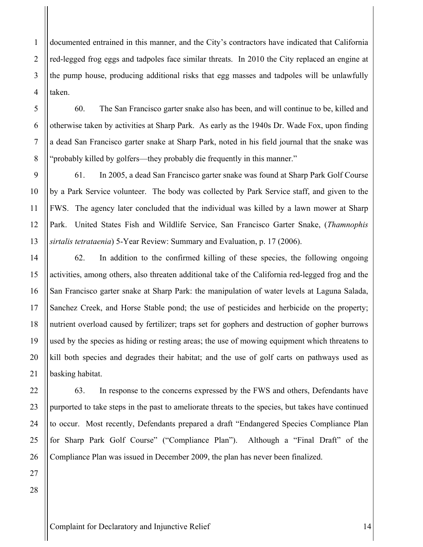documented entrained in this manner, and the City's contractors have indicated that California red-legged frog eggs and tadpoles face similar threats. In 2010 the City replaced an engine at the pump house, producing additional risks that egg masses and tadpoles will be unlawfully taken.

5 6 7

8

9

10

11

12

1

2

3

4

60. The San Francisco garter snake also has been, and will continue to be, killed and otherwise taken by activities at Sharp Park. As early as the 1940s Dr. Wade Fox, upon finding a dead San Francisco garter snake at Sharp Park, noted in his field journal that the snake was "probably killed by golfers—they probably die frequently in this manner."

61. In 2005, a dead San Francisco garter snake was found at Sharp Park Golf Course by a Park Service volunteer. The body was collected by Park Service staff, and given to the FWS. The agency later concluded that the individual was killed by a lawn mower at Sharp Park. United States Fish and Wildlife Service, San Francisco Garter Snake, (*Thamnophis sirtalis tetrataenia*) 5-Year Review: Summary and Evaluation, p. 17 (2006).

62. In addition to the confirmed killing of these species, the following ongoing activities, among others, also threaten additional take of the California red-legged frog and the San Francisco garter snake at Sharp Park: the manipulation of water levels at Laguna Salada, Sanchez Creek, and Horse Stable pond; the use of pesticides and herbicide on the property; nutrient overload caused by fertilizer; traps set for gophers and destruction of gopher burrows used by the species as hiding or resting areas; the use of mowing equipment which threatens to kill both species and degrades their habitat; and the use of golf carts on pathways used as basking habitat.

63. In response to the concerns expressed by the FWS and others, Defendants have purported to take steps in the past to ameliorate threats to the species, but takes have continued to occur. Most recently, Defendants prepared a draft "Endangered Species Compliance Plan for Sharp Park Golf Course" ("Compliance Plan"). Although a "Final Draft" of the Compliance Plan was issued in December 2009, the plan has never been finalized.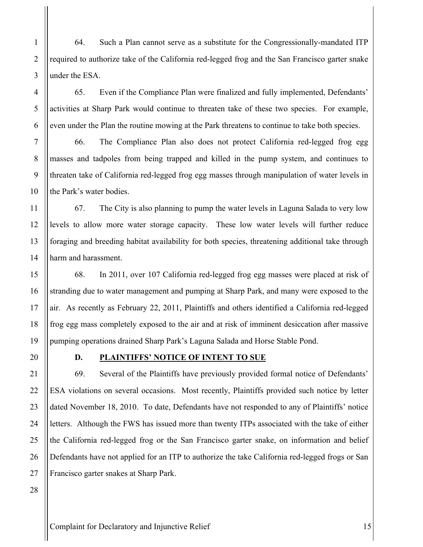64. Such a Plan cannot serve as a substitute for the Congressionally-mandated ITP required to authorize take of the California red-legged frog and the San Francisco garter snake under the ESA.

65. Even if the Compliance Plan were finalized and fully implemented, Defendants' activities at Sharp Park would continue to threaten take of these two species. For example, even under the Plan the routine mowing at the Park threatens to continue to take both species.

66. The Compliance Plan also does not protect California red-legged frog egg masses and tadpoles from being trapped and killed in the pump system, and continues to threaten take of California red-legged frog egg masses through manipulation of water levels in the Park's water bodies.

67. The City is also planning to pump the water levels in Laguna Salada to very low levels to allow more water storage capacity. These low water levels will further reduce foraging and breeding habitat availability for both species, threatening additional take through harm and harassment.

68. In 2011, over 107 California red-legged frog egg masses were placed at risk of stranding due to water management and pumping at Sharp Park, and many were exposed to the air. As recently as February 22, 2011, Plaintiffs and others identified a California red-legged frog egg mass completely exposed to the air and at risk of imminent desiccation after massive pumping operations drained Sharp Park's Laguna Salada and Horse Stable Pond.

## **D. PLAINTIFFS' NOTICE OF INTENT TO SUE**

69. Several of the Plaintiffs have previously provided formal notice of Defendants' ESA violations on several occasions. Most recently, Plaintiffs provided such notice by letter dated November 18, 2010. To date, Defendants have not responded to any of Plaintiffs' notice letters. Although the FWS has issued more than twenty ITPs associated with the take of either the California red-legged frog or the San Francisco garter snake, on information and belief Defendants have not applied for an ITP to authorize the take California red-legged frogs or San Francisco garter snakes at Sharp Park.

1

2